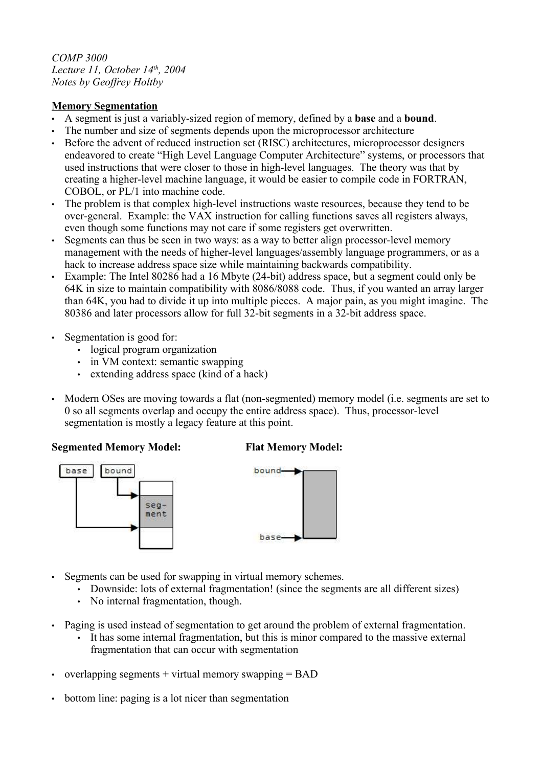*COMP 3000 Lecture 11, October 14th, 2004 Notes by Geoffrey Holtby*

## **Memory Segmentation**

- A segment is just a variably-sized region of memory, defined by a **base** and a **bound**.
- The number and size of segments depends upon the microprocessor architecture
- Before the advent of reduced instruction set (RISC) architectures, microprocessor designers endeavored to create "High Level Language Computer Architecture" systems, or processors that used instructions that were closer to those in high-level languages. The theory was that by creating a higher-level machine language, it would be easier to compile code in FORTRAN, COBOL, or PL/1 into machine code.
- The problem is that complex high-level instructions waste resources, because they tend to be over-general. Example: the VAX instruction for calling functions saves all registers always, even though some functions may not care if some registers get overwritten.
- Segments can thus be seen in two ways: as a way to better align processor-level memory management with the needs of higher-level languages/assembly language programmers, or as a hack to increase address space size while maintaining backwards compatibility.
- Example: The Intel 80286 had a 16 Mbyte (24-bit) address space, but a segment could only be 64K in size to maintain compatibility with 8086/8088 code. Thus, if you wanted an array larger than 64K, you had to divide it up into multiple pieces. A major pain, as you might imagine. The 80386 and later processors allow for full 32-bit segments in a 32-bit address space.
- Segmentation is good for:
	- logical program organization
	- in VM context: semantic swapping
	- extending address space (kind of a hack)
- Modern OSes are moving towards a flat (non-segmented) memory model (i.e. segments are set to 0 so all segments overlap and occupy the entire address space). Thus, processor-level segmentation is mostly a legacy feature at this point.

## **Segmented Memory Model: Flat Memory Model:**





- Segments can be used for swapping in virtual memory schemes.
	- Downside: lots of external fragmentation! (since the segments are all different sizes)
	- No internal fragmentation, though.
- Paging is used instead of segmentation to get around the problem of external fragmentation.
	- It has some internal fragmentation, but this is minor compared to the massive external fragmentation that can occur with segmentation
- overlapping segments  $+$  virtual memory swapping  $=$  BAD
- bottom line: paging is a lot nicer than segmentation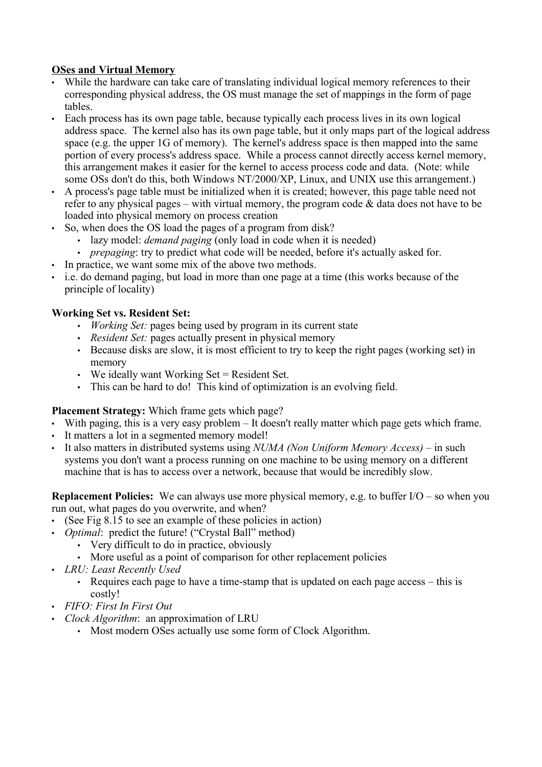# **OSes and Virtual Memory**

- While the hardware can take care of translating individual logical memory references to their corresponding physical address, the OS must manage the set of mappings in the form of page tables.
- Each process has its own page table, because typically each process lives in its own logical address space. The kernel also has its own page table, but it only maps part of the logical address space (e.g. the upper 1G of memory). The kernel's address space is then mapped into the same portion of every process's address space. While a process cannot directly access kernel memory, this arrangement makes it easier for the kernel to access process code and data. (Note: while some OSs don't do this, both Windows NT/2000/XP, Linux, and UNIX use this arrangement.)
- A process's page table must be initialized when it is created; however, this page table need not refer to any physical pages – with virtual memory, the program code  $\&$  data does not have to be loaded into physical memory on process creation
- So, when does the OS load the pages of a program from disk?
	- lazy model: *demand paging* (only load in code when it is needed)
	- *prepaging*: try to predict what code will be needed, before it's actually asked for.
- In practice, we want some mix of the above two methods.
- i.e. do demand paging, but load in more than one page at a time (this works because of the principle of locality)

# **Working Set vs. Resident Set:**

- *Working Set:* pages being used by program in its current state
- *Resident Set:* pages actually present in physical memory
- Because disks are slow, it is most efficient to try to keep the right pages (working set) in memory
- We ideally want Working Set = Resident Set.
- This can be hard to do! This kind of optimization is an evolving field.

## **Placement Strategy:** Which frame gets which page?

- With paging, this is a very easy problem It doesn't really matter which page gets which frame.
- It matters a lot in a segmented memory model!
- It also matters in distributed systems using *NUMA (Non Uniform Memory Access)* in such systems you don't want a process running on one machine to be using memory on a different machine that is has to access over a network, because that would be incredibly slow.

**Replacement Policies:** We can always use more physical memory, e.g. to buffer I/O – so when you run out, what pages do you overwrite, and when?

- (See Fig 8.15 to see an example of these policies in action)
- *Optimal*: predict the future! ("Crystal Ball" method)
	- Very difficult to do in practice, obviously
	- More useful as a point of comparison for other replacement policies
- *LRU: Least Recently Used*
	- Requires each page to have a time-stamp that is updated on each page access this is costly!
- *FIFO: First In First Out*
- *Clock Algorithm*: an approximation of LRU
	- Most modern OSes actually use some form of Clock Algorithm.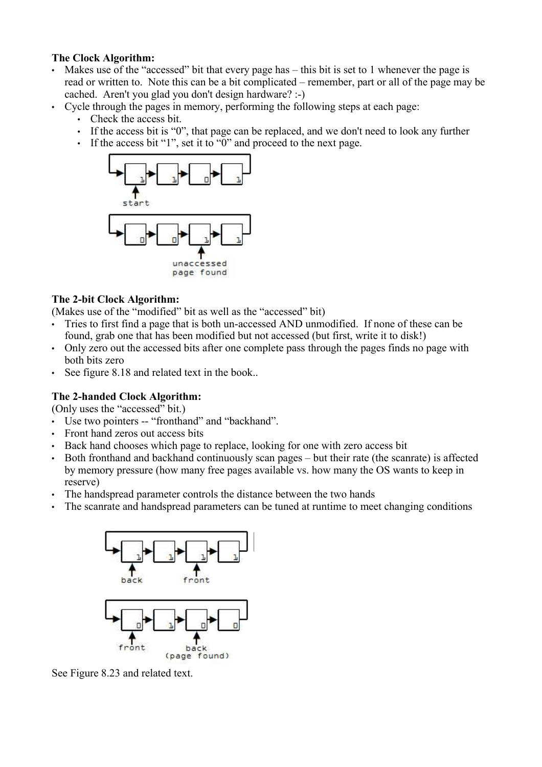### **The Clock Algorithm:**

- Makes use of the "accessed" bit that every page has this bit is set to 1 whenever the page is read or written to. Note this can be a bit complicated – remember, part or all of the page may be cached. Aren't you glad you don't design hardware? :-)
- Cycle through the pages in memory, performing the following steps at each page:
	- Check the access bit.
	- If the access bit is "0", that page can be replaced, and we don't need to look any further
	- If the access bit "1", set it to "0" and proceed to the next page.



# **The 2-bit Clock Algorithm:**

(Makes use of the "modified" bit as well as the "accessed" bit)

- Tries to first find a page that is both un-accessed AND unmodified. If none of these can be found, grab one that has been modified but not accessed (but first, write it to disk!)
- Only zero out the accessed bits after one complete pass through the pages finds no page with both bits zero
- See figure 8.18 and related text in the book..

# **The 2-handed Clock Algorithm:**

(Only uses the "accessed" bit.)

- Use two pointers -- "fronthand" and "backhand".
- Front hand zeros out access bits
- Back hand chooses which page to replace, looking for one with zero access bit
- Both fronthand and backhand continuously scan pages but their rate (the scanrate) is affected by memory pressure (how many free pages available vs. how many the OS wants to keep in reserve)
- The handspread parameter controls the distance between the two hands
- The scanrate and handspread parameters can be tuned at runtime to meet changing conditions



See Figure 8.23 and related text.